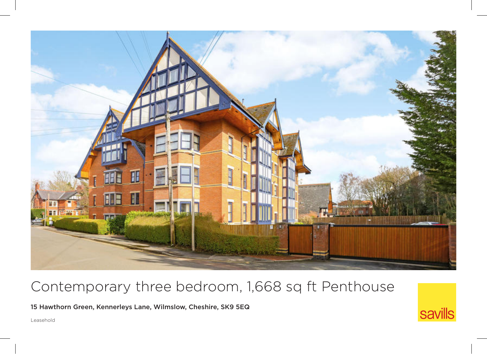

## Contemporary three bedroom, 1,668 sq ft Penthouse

15 Hawthorn Green, Kennerleys Lane, Wilmslow, Cheshire, SK9 5EQ

Leasehold

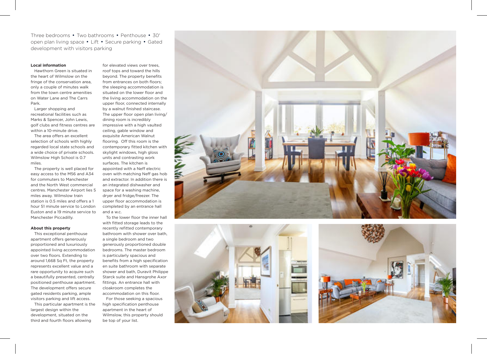Three bedrooms • Two bathrooms • Penthouse • 30' open plan living space • Lift • Secure parking • Gated development with visitors parking

## **Local information**

 Hawthorn Green is situated in the heart of Wilmslow on the fringe of the conservation area, only a couple of minutes walk from the town centre amenities on Water Lane and The Carrs Park.

 Larger shopping and recreational facilities such as Marks & Spencer, John Lewis, golf clubs and fitness centres are within a 10-minute drive.

 The area offers an excellent selection of schools with highly regarded local state schools and a wide choice of private schools. Wilmslow High School is 0.7 miles.

 The property is well placed for easy access to the M56 and A34 for commuters to Manchester and the North West commercial centres. Manchester Airport lies 5 miles away. Wilmslow train station is 0.5 miles and offers a 1 hour 51 minute service to London Euston and a 19 minute service to Manchester Piccadilly.

## **About this property**

 This exceptional penthouse apartment offers generously proportioned and luxuriously appointed living accommodation over two floors. Extending to around 1,668 Sq Ft, the property represents excellent value and a rare opportunity to acquire such a beautifully presented, centrally positioned penthouse apartment. The development offers secure gated residents parking, ample visitors parking and lift access.

 This particular apartment is the largest design within the development, situated on the third and fourth floors allowing

for elevated views over trees, roof tops and toward the hills beyond. The property benefits from entrances on both floors; the sleeping accommodation is situated on the lower floor and the living accommodation on the upper floor, connected internally by a walnut finished staircase. The upper floor open plan living/ dining room is incredibly impressive with a high vaulted ceiling, gable window and exquisite American Walnut flooring. Off this room is the contemporary fitted kitchen with skylight windows, high gloss units and contrasting work surfaces. The kitchen is appointed with a Neff electric oven with matching Neff gas hob and extractor. In addition there is an integrated dishwasher and space for a washing machine, dryer and fridge/freezer. The upper floor accommodation is completed by an entrance hall and a w.c.

 To the lower floor the inner hall with fitted storage leads to the recently refitted contemporary bathroom with shower over bath, a single bedroom and two generously proportioned double bedrooms. The master bedroom is particularly spacious and benefits from a high specification en suite bathroom with separate shower and bath, Duravit Philippe Starck suite and Hansgrohe Axor fittings. An entrance hall with cloakroom completes the accommodation on this floor.

 For those seeking a spacious high specification penthouse apartment in the heart of Wilmslow, this property should be top of your list.





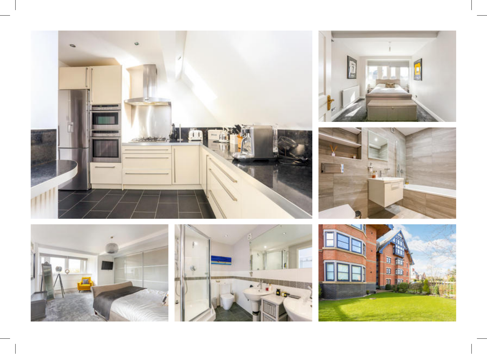